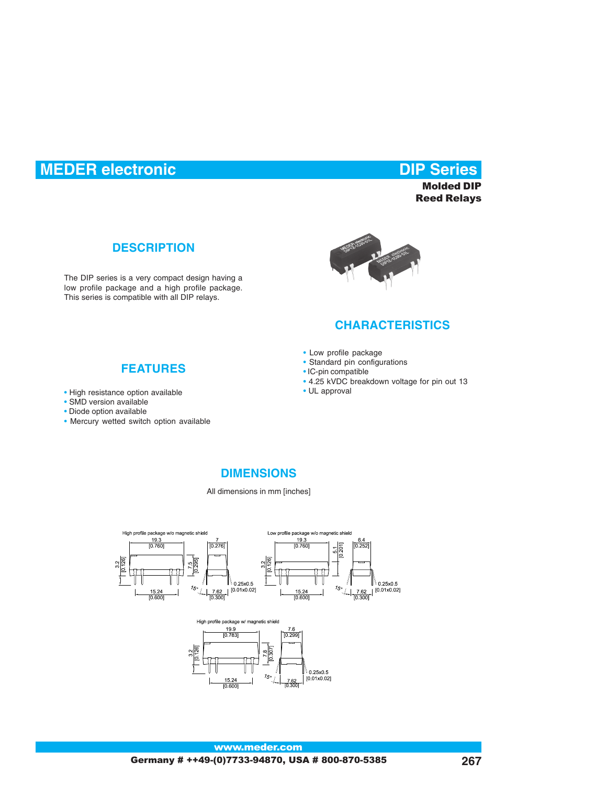# **MEDER electronic Contract Contract Contract Contract Contract Contract Contract Contract Contract Contract Contract Contract Contract Contract Contract Contract Contract Contract Contract Contract Contract Contract Contra**

**Molded DIP Reed Relays** 

### **DESCRIPTION**

The DIP series is a very compact design having a low profile package and a high profile package. This series is compatible with all DIP relays.



### **CHARACTERISTICS**

- Low profile package
- Standard pin configurations
- IC-pin compatible
- 4.25 kVDC breakdown voltage for pin out 13
- UL approval

#### **FEATURES**

- High resistance option available
- SMD version available
- Diode option available
- Mercury wetted switch option available

### **DIMENSIONS**

All dimensions in mm [inches]



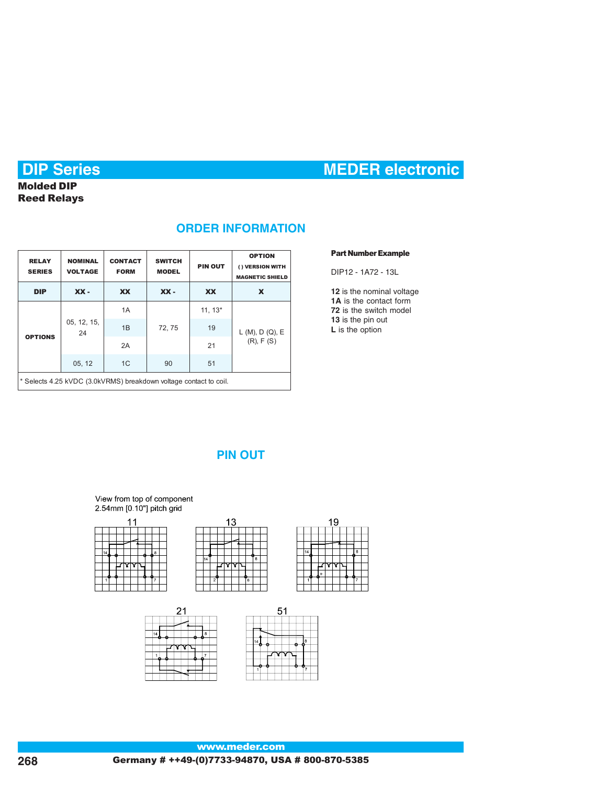# **DIP Series MEDER electronic**

# **Molded DIP Reed Relays**

## **ORDER INFORMATION**

| <b>RELAY</b><br><b>SERIES</b>                                     | <b>NOMINAL</b><br><b>VOLTAGE</b> | <b>CONTACT</b><br><b>FORM</b> | <b>SWITCH</b><br><b>MODEL</b> | <b>PIN OUT</b> | <b>OPTION</b><br>() VERSION WITH<br><b>MAGNETIC SHIELD</b> |  |  |  |  |  |
|-------------------------------------------------------------------|----------------------------------|-------------------------------|-------------------------------|----------------|------------------------------------------------------------|--|--|--|--|--|
| <b>DIP</b>                                                        | $XX -$                           | <b>XX</b>                     | $XX -$                        | <b>XX</b>      | X                                                          |  |  |  |  |  |
| <b>OPTIONS</b>                                                    | 05, 12, 15,<br>24                | 1A                            |                               | $11, 13*$      |                                                            |  |  |  |  |  |
|                                                                   |                                  | 1B                            | 72, 75                        | 19             | L(M), D(Q), E                                              |  |  |  |  |  |
|                                                                   |                                  | 2A                            |                               | 21             | $(R)$ , $F(S)$                                             |  |  |  |  |  |
|                                                                   | 05, 12                           |                               |                               |                |                                                            |  |  |  |  |  |
| * Selects 4.25 kVDC (3.0kVRMS) breakdown voltage contact to coil. |                                  |                               |                               |                |                                                            |  |  |  |  |  |

#### **Part Number Example**

DIP12 - 1A72 - 13L

**12** is the nominal voltage **1A** is the contact form **72** is the switch model **13** is the pin out **L** is the option

# **PIN OUT**

#### View from top of component 2.54mm [0.10"] pitch grid



 $13$ 







#### www.meder.com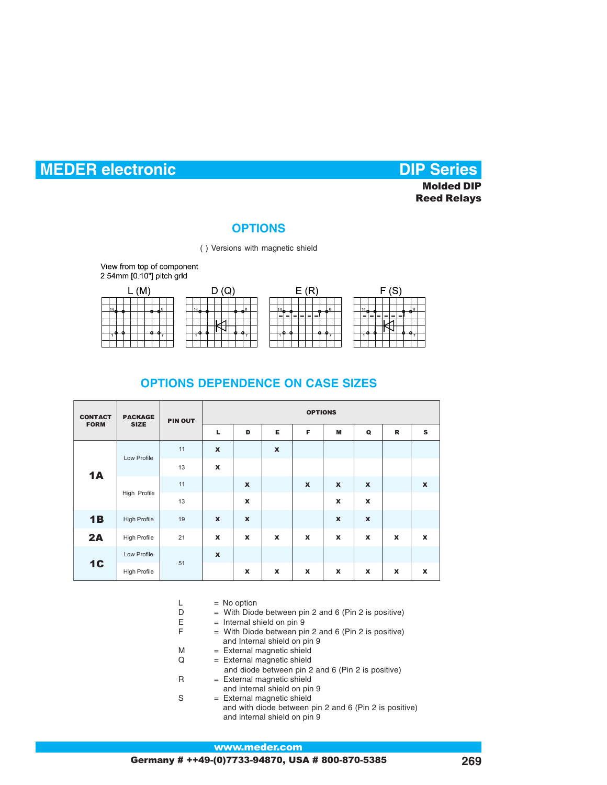### **OPTIONS**

( ) Versions with magnetic shield

View from top of component 2.54mm [0.10"] pitch grid



## **OPTIONS DEPENDENCE ON CASE SIZES**

| <b>CONTACT</b><br><b>FORM</b> | <b>PACKAGE</b><br><b>SIZE</b> | <b>PIN OUT</b> | <b>OPTIONS</b>   |                           |                    |                  |                    |              |                  |                    |  |  |
|-------------------------------|-------------------------------|----------------|------------------|---------------------------|--------------------|------------------|--------------------|--------------|------------------|--------------------|--|--|
|                               |                               |                | L                | D                         | Е                  | F                | M                  | Q            | $\mathbf R$      | ${\bf s}$          |  |  |
| 1A                            | Low Profile                   | 11             | $\boldsymbol{x}$ |                           | $\pmb{\mathsf{x}}$ |                  |                    |              |                  |                    |  |  |
|                               |                               | 13             | $\mathbf x$      |                           |                    |                  |                    |              |                  |                    |  |  |
|                               | High Profile                  | 11             |                  | $\boldsymbol{x}$          |                    | $\boldsymbol{x}$ | $\boldsymbol{x}$   | $\pmb{\chi}$ |                  | $\pmb{\mathsf{x}}$ |  |  |
|                               |                               | 13             |                  | $\pmb{\mathsf{x}}$        |                    |                  | X                  | X            |                  |                    |  |  |
| 1B                            | <b>High Profile</b>           | 19             | $\boldsymbol{x}$ | $\boldsymbol{\mathsf{x}}$ |                    |                  | $\pmb{\mathsf{x}}$ | $\pmb{\chi}$ |                  |                    |  |  |
| 2A                            | <b>High Profile</b>           | 21             | $\boldsymbol{x}$ | $\boldsymbol{x}$          | $\boldsymbol{x}$   | $\boldsymbol{x}$ | $\boldsymbol{x}$   | $\mathbf x$  | $\boldsymbol{x}$ | $\mathbf x$        |  |  |
| 1 <sup>C</sup>                | Low Profile                   |                | $\boldsymbol{x}$ |                           |                    |                  |                    |              |                  |                    |  |  |
|                               | <b>High Profile</b>           | 51             |                  | $\boldsymbol{x}$          | $\boldsymbol{x}$   | $\boldsymbol{x}$ | $\boldsymbol{x}$   | $\mathbf{x}$ | $\mathbf x$      | $\pmb{\chi}$       |  |  |

- $L = No$  option
- $D =$  With Diode between pin 2 and 6 (Pin 2 is positive)
- $E$  = Internal shield on pin 9<br> $E$  = With Diode between pi
	- $=$  With Diode between pin 2 and 6 (Pin 2 is positive) and Internal shield on pin 9
- M = External magnetic shield
- $Q =$  External magnetic shield and diode between pin 2 and 6 (Pin 2 is positive) R = External magnetic shield
	- and internal shield on pin 9
- S = External magnetic shield and with diode between pin 2 and 6 (Pin 2 is positive) and internal shield on pin 9

#### www.meder.com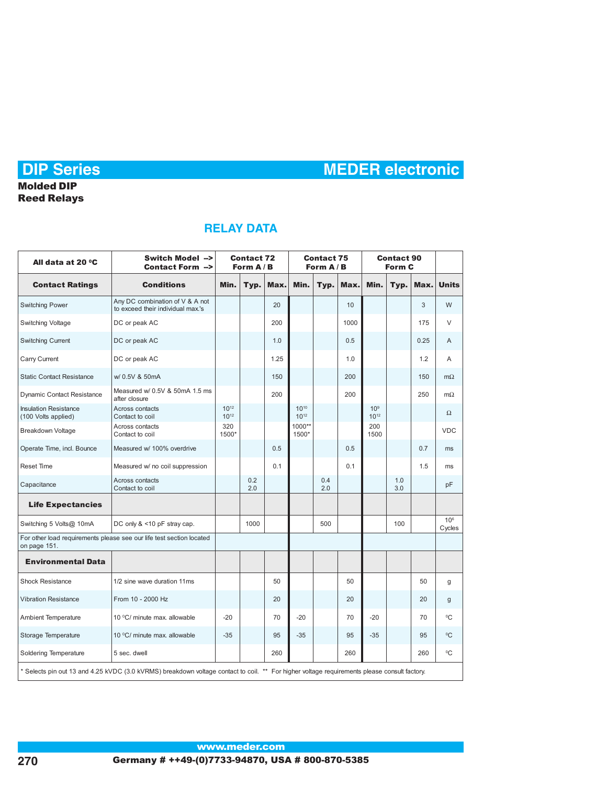# **Reed Relays**

# **RELAY DATA**

| All data at 20 °C                                                                                                                            | Switch Model --><br>Contact Form -->                                 | <b>Contact 72</b><br>Form $A/B$ |            |      | <b>Contact 75</b><br>Form $A/B$ |            |      | <b>Contact 90</b><br>Form C  |            |      |                           |  |
|----------------------------------------------------------------------------------------------------------------------------------------------|----------------------------------------------------------------------|---------------------------------|------------|------|---------------------------------|------------|------|------------------------------|------------|------|---------------------------|--|
| <b>Contact Ratings</b>                                                                                                                       | <b>Conditions</b>                                                    | Min.                            | Typ.       | Max. | Min.                            | Typ.       | Max. | Min.                         | Typ.       | Max. | <b>Units</b>              |  |
| <b>Switching Power</b>                                                                                                                       | Any DC combination of V & A not<br>to exceed their individual max.'s |                                 |            | 20   |                                 |            | 10   |                              |            | 3    | W                         |  |
| Switching Voltage                                                                                                                            | DC or peak AC                                                        |                                 |            | 200  |                                 |            | 1000 |                              |            | 175  | $\vee$                    |  |
| Switching Current                                                                                                                            | DC or peak AC                                                        |                                 |            | 1.0  |                                 |            | 0.5  |                              |            | 0.25 | $\overline{A}$            |  |
| Carry Current                                                                                                                                | DC or peak AC                                                        |                                 |            | 1.25 |                                 |            | 1.0  |                              |            | 1.2  | A                         |  |
| <b>Static Contact Resistance</b>                                                                                                             | w/ 0.5V & 50mA                                                       |                                 |            | 150  |                                 |            | 200  |                              |            | 150  |                           |  |
| <b>Dynamic Contact Resistance</b>                                                                                                            | Measured w/ 0.5V & 50mA 1.5 ms<br>after closure                      |                                 |            | 200  |                                 |            | 200  |                              |            | 250  |                           |  |
| <b>Insulation Resistance</b><br>(100 Volts applied)                                                                                          | Across contacts<br>Contact to coil                                   | $10^{12}$<br>$10^{12}$          |            |      | $10^{10}$<br>$10^{12}$          |            |      | 10 <sup>9</sup><br>$10^{12}$ |            |      | $\Omega$                  |  |
| Breakdown Voltage                                                                                                                            | Across contacts<br>Contact to coil                                   | 320<br>1500*                    |            |      | 1000**<br>1500*                 |            |      | 200<br>1500                  |            |      | <b>VDC</b>                |  |
| Operate Time, incl. Bounce                                                                                                                   | Measured w/ 100% overdrive                                           |                                 |            | 0.5  |                                 |            | 0.5  |                              |            | 0.7  | ms                        |  |
| <b>Reset Time</b>                                                                                                                            | Measured w/ no coil suppression                                      |                                 |            | 0.1  |                                 |            | 0.1  |                              |            | 1.5  | ms                        |  |
| Capacitance                                                                                                                                  | Across contacts<br>Contact to coil                                   |                                 | 0.2<br>2.0 |      |                                 | 0.4<br>2.0 |      |                              | 1.0<br>3.0 |      | pF                        |  |
| <b>Life Expectancies</b>                                                                                                                     |                                                                      |                                 |            |      |                                 |            |      |                              |            |      |                           |  |
| Switching 5 Volts@ 10mA<br>DC only & <10 pF stray cap.                                                                                       |                                                                      |                                 | 1000       |      |                                 | 500        |      |                              | 100        |      | 10 <sup>6</sup><br>Cycles |  |
| For other load requirements please see our life test section located<br>on page 151.                                                         |                                                                      |                                 |            |      |                                 |            |      |                              |            |      |                           |  |
| <b>Environmental Data</b>                                                                                                                    |                                                                      |                                 |            |      |                                 |            |      |                              |            |      |                           |  |
| <b>Shock Resistance</b>                                                                                                                      | 1/2 sine wave duration 11ms                                          |                                 |            | 50   |                                 |            | 50   |                              |            | 50   | g                         |  |
| <b>Vibration Resistance</b>                                                                                                                  | From 10 - 2000 Hz                                                    |                                 |            | 20   |                                 |            | 20   |                              |            | 20   | g                         |  |
| Ambient Temperature                                                                                                                          | 10 °C/ minute max. allowable                                         | $-20$                           |            | 70   | $-20$                           |            | 70   | $-20$                        | 70         |      | °C                        |  |
| Storage Temperature                                                                                                                          | 10 °C/ minute max. allowable                                         | $-35$                           |            | 95   | $-35$                           |            | 95   | $-35$<br>95                  |            |      | $^0C$                     |  |
| Soldering Temperature                                                                                                                        | 260<br>260<br>5 sec. dwell                                           |                                 |            | 260  | $^0C$                           |            |      |                              |            |      |                           |  |
| * Selects pin out 13 and 4.25 kVDC (3.0 kVRMS) breakdown voltage contact to coil. ** For higher voltage requirements please consult factory. |                                                                      |                                 |            |      |                                 |            |      |                              |            |      |                           |  |